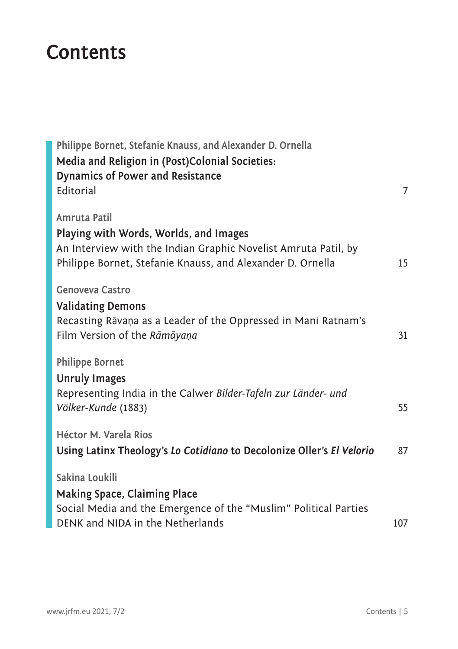## **Contents**

| Philippe Bornet, Stefanie Knauss, and Alexander D. Ornella<br>Media and Religion in (Post)Colonial Societies:                                                                          |     |
|----------------------------------------------------------------------------------------------------------------------------------------------------------------------------------------|-----|
| <b>Dynamics of Power and Resistance</b><br>Editorial                                                                                                                                   | 7   |
| Amruta Patil<br>Playing with Words, Worlds, and Images<br>An Interview with the Indian Graphic Novelist Amruta Patil, by<br>Philippe Bornet, Stefanie Knauss, and Alexander D. Ornella | 15  |
| <b>Genoveva Castro</b><br><b>Validating Demons</b><br>Recasting Rāvaņa as a Leader of the Oppressed in Mani Ratnam's<br>Film Version of the Rāmāyaņa                                   | 31  |
| <b>Philippe Bornet</b><br><b>Unruly Images</b>                                                                                                                                         |     |
| Representing India in the Calwer Bilder-Tafeln zur Länder- und<br>Völker-Kunde (1883)                                                                                                  | 55  |
| <b>Héctor M. Varela Rios</b><br>Using Latinx Theology's Lo Cotidiano to Decolonize Oller's El Velorio                                                                                  | 87  |
| Sakina Loukili                                                                                                                                                                         |     |
| Making Space, Claiming Place<br>Social Media and the Emergence of the "Muslim" Political Parties<br>DENK and NIDA in the Netherlands                                                   | 107 |